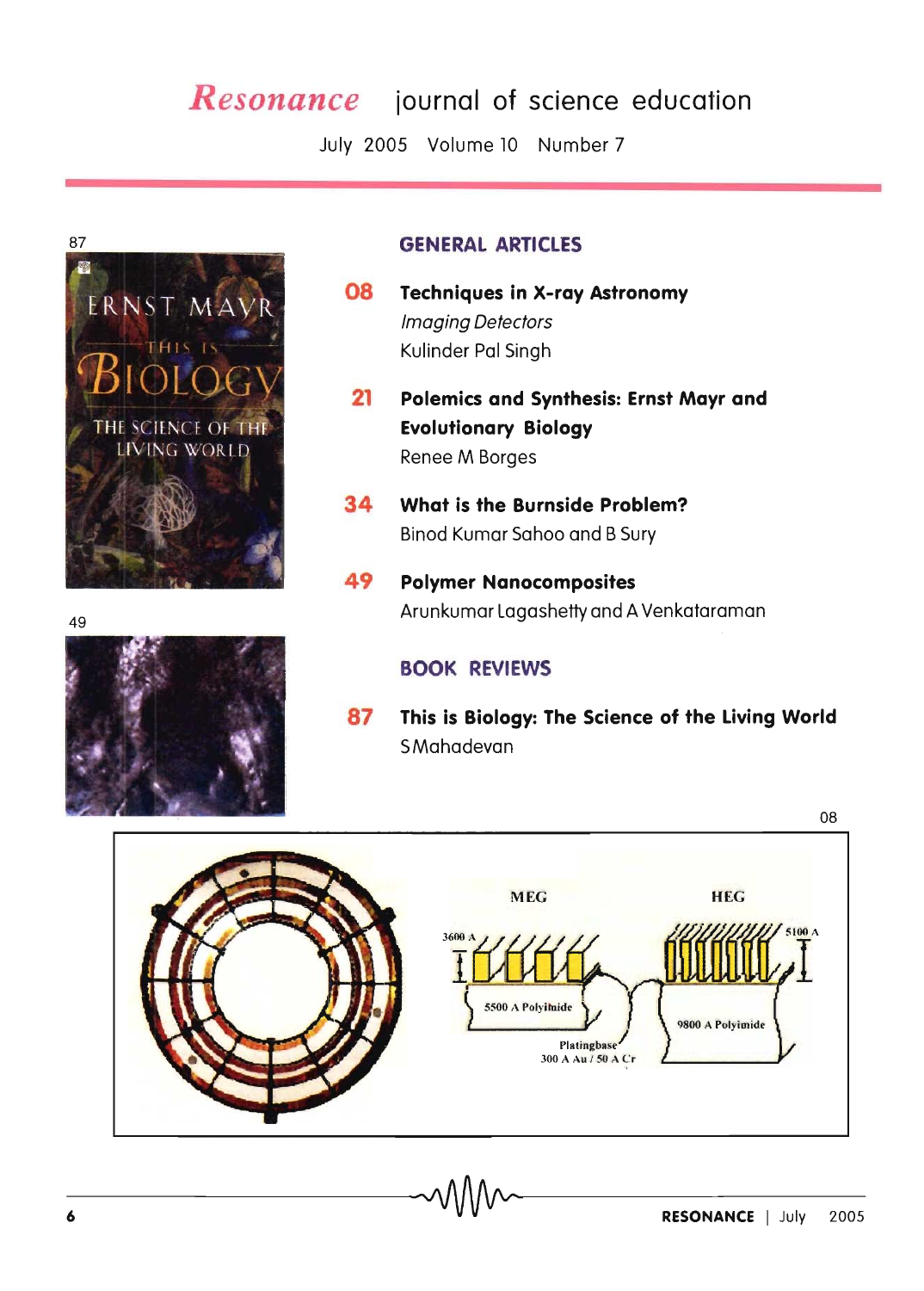## *Resonance* **journal of science education**

July 2005 Volume 10 Number 7



- **08 Techniques in X-ray Astronomy**  Imaging Detectors Kulinder Pal Singh
- **21 Polemics and Synthesis: Ernst Mayr and Evolutionary Biology**  Renee M Borges
- **34 What is the Burnside Problem?**  Binod Kumar Sahoo and B Sury
- **49 Polymer Nanocomposites**  <sup>49</sup>Arunkumar Lagashetty and A Venkataraman

## **BOOK REVIEWS**

**87 This is Biology: The Science of the Living World**  SMahadevan